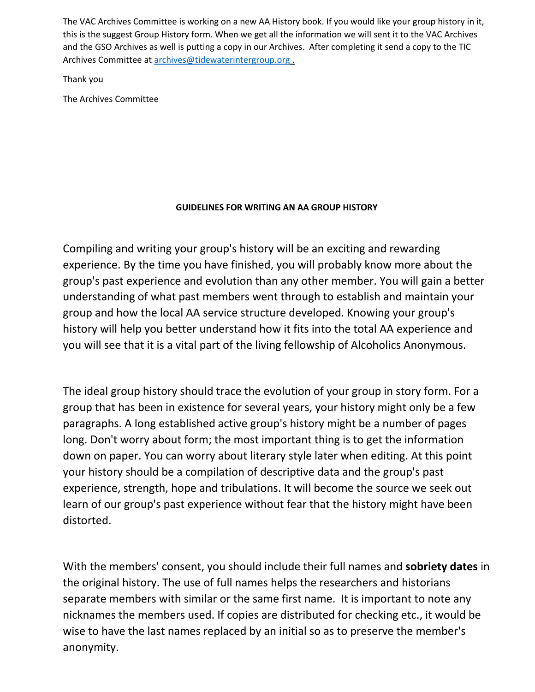The VAC Archives Committee is working on a new AA History book. If you would like your group history in it, this is the suggest Group History form. When we get all the information we will sent it to the VAC Archives and the GSO Archives as well is putting a copy in our Archives. After completing it send a copy to the TIC Archives Committee at [archives@tidewaterintergroup.org](mailto:archives@tidewaterintergroup.org) .

Thank you

The Archives Committee

## **GUIDELINES FOR WRITING AN AA GROUP HISTORY**

Compiling and writing your group's history will be an exciting and rewarding experience. By the time you have finished, you will probably know more about the group's past experience and evolution than any other member. You will gain a better understanding of what past members went through to establish and maintain your group and how the local AA service structure developed. Knowing your group's history will help you better understand how it fits into the total AA experience and you will see that it is a vital part of the living fellowship of Alcoholics Anonymous.

The ideal group history should trace the evolution of your group in story form. For a group that has been in existence for several years, your history might only be a few paragraphs. A long established active group's history might be a number of pages long. Don't worry about form; the most important thing is to get the information down on paper. You can worry about literary style later when editing. At this point your history should be a compilation of descriptive data and the group's past experience, strength, hope and tribulations. It will become the source we seek out learn of our group's past experience without fear that the history might have been distorted.

With the members' consent, you should include their full names and **sobriety dates** in the original history. The use of full names helps the researchers and historians separate members with similar or the same first name. It is important to note any nicknames the members used. If copies are distributed for checking etc., it would be wise to have the last names replaced by an initial so as to preserve the member's anonymity.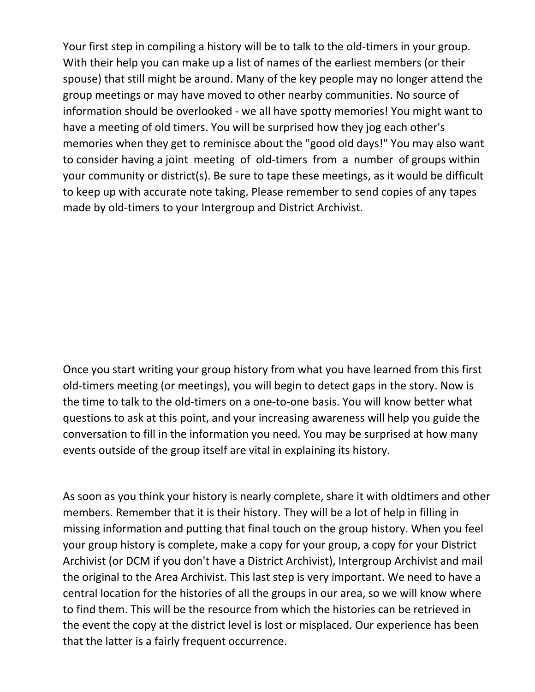Your first step in compiling a history will be to talk to the old-timers in your group. With their help you can make up a list of names of the earliest members (or their spouse) that still might be around. Many of the key people may no longer attend the group meetings or may have moved to other nearby communities. No source of information should be overlooked - we all have spotty memories! You might want to have a meeting of old timers. You will be surprised how they jog each other's memories when they get to reminisce about the "good old days!" You may also want to consider having a joint meeting of old-timers from a number of groups within your community or district(s). Be sure to tape these meetings, as it would be difficult to keep up with accurate note taking. Please remember to send copies of any tapes made by old-timers to your Intergroup and District Archivist.

Once you start writing your group history from what you have learned from this first old-timers meeting (or meetings), you will begin to detect gaps in the story. Now is the time to talk to the old-timers on a one-to-one basis. You will know better what questions to ask at this point, and your increasing awareness will help you guide the conversation to fill in the information you need. You may be surprised at how many events outside of the group itself are vital in explaining its history.

As soon as you think your history is nearly complete, share it with oldtimers and other members. Remember that it is their history. They will be a lot of help in filling in missing information and putting that final touch on the group history. When you feel your group history is complete, make a copy for your group, a copy for your District Archivist (or DCM if you don't have a District Archivist), Intergroup Archivist and mail the original to the Area Archivist. This last step is very important. We need to have a central location for the histories of all the groups in our area, so we will know where to find them. This will be the resource from which the histories can be retrieved in the event the copy at the district level is lost or misplaced. Our experience has been that the latter is a fairly frequent occurrence.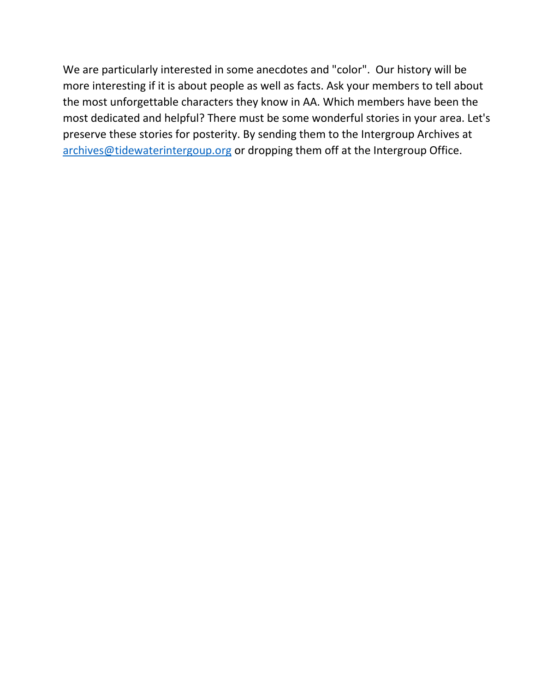We are particularly interested in some anecdotes and "color". Our history will be more interesting if it is about people as well as facts. Ask your members to tell about the most unforgettable characters they know in AA. Which members have been the most dedicated and helpful? There must be some wonderful stories in your area. Let's preserve these stories for posterity. By sending them to the Intergroup Archives at [archives@tidewaterintergoup.org](mailto:archives@tidewaterintergoup.org) or dropping them off at the Intergroup Office.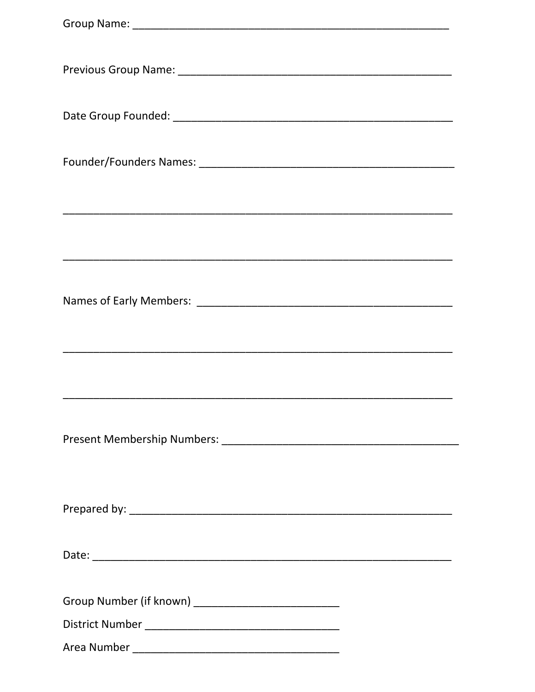| Group Number (if known) _____________________________ |
|-------------------------------------------------------|
|                                                       |
|                                                       |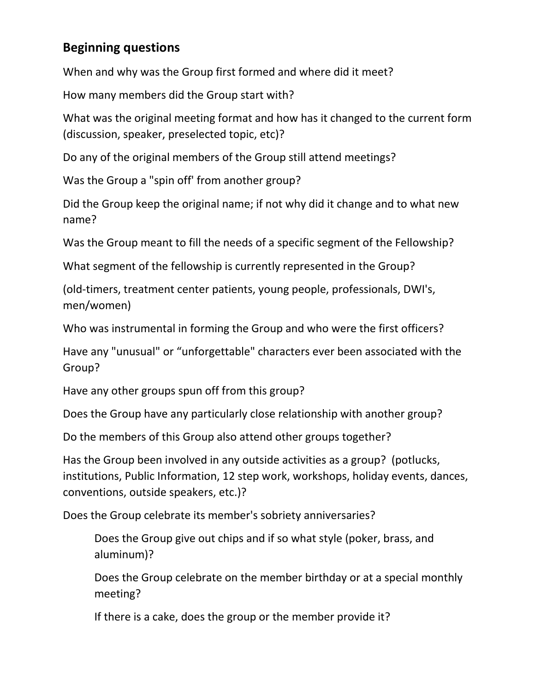## **Beginning questions**

When and why was the Group first formed and where did it meet?

How many members did the Group start with?

What was the original meeting format and how has it changed to the current form (discussion, speaker, preselected topic, etc)?

Do any of the original members of the Group still attend meetings?

Was the Group a "spin off' from another group?

Did the Group keep the original name; if not why did it change and to what new name?

Was the Group meant to fill the needs of a specific segment of the Fellowship?

What segment of the fellowship is currently represented in the Group?

(old-timers, treatment center patients, young people, professionals, DWI's, men/women)

Who was instrumental in forming the Group and who were the first officers?

Have any "unusual" or "unforgettable" characters ever been associated with the Group?

Have any other groups spun off from this group?

Does the Group have any particularly close relationship with another group?

Do the members of this Group also attend other groups together?

Has the Group been involved in any outside activities as a group? (potlucks, institutions, Public Information, 12 step work, workshops, holiday events, dances, conventions, outside speakers, etc.)?

Does the Group celebrate its member's sobriety anniversaries?

Does the Group give out chips and if so what style (poker, brass, and aluminum)?

Does the Group celebrate on the member birthday or at a special monthly meeting?

If there is a cake, does the group or the member provide it?